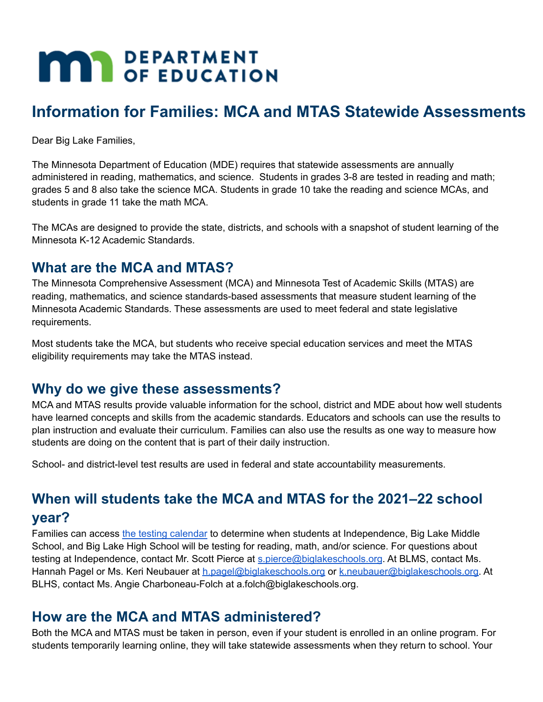# **MAY DEPARTMENT**

## **Information for Families: MCA and MTAS Statewide Assessments**

Dear Big Lake Families,

The Minnesota Department of Education (MDE) requires that statewide assessments are annually administered in reading, mathematics, and science. Students in grades 3-8 are tested in reading and math; grades 5 and 8 also take the science MCA. Students in grade 10 take the reading and science MCAs, and students in grade 11 take the math MCA.

The MCAs are designed to provide the state, districts, and schools with a snapshot of student learning of the Minnesota K-12 Academic Standards.

## **What are the MCA and MTAS?**

The Minnesota Comprehensive Assessment (MCA) and Minnesota Test of Academic Skills (MTAS) are reading, mathematics, and science standards-based assessments that measure student learning of the Minnesota Academic Standards. These assessments are used to meet federal and state legislative requirements.

Most students take the MCA, but students who receive special education services and meet the MTAS eligibility requirements may take the MTAS instead.

## **Why do we give these assessments?**

MCA and MTAS results provide valuable information for the school, district and MDE about how well students have learned concepts and skills from the academic standards. Educators and schools can use the results to plan instruction and evaluate their curriculum. Families can also use the results as one way to measure how students are doing on the content that is part of their daily instruction.

School- and district-level test results are used in federal and state accountability measurements.

## **When will students take the MCA and MTAS for the 2021–22 school year?**

Families can access the testing [calendar](https://docs.google.com/document/d/17yQB6KdzC_oxNU3B3GskaofGcl-mK5jI1T4E0I6fIWE/edit?usp=sharing) to determine when students at Independence, Big Lake Middle School, and Big Lake High School will be testing for reading, math, and/or science. For questions about testing at Independence, contact Mr. Scott Pierce at [s.pierce@biglakeschools.org](mailto:s.pierce@biglakeschools.org). At BLMS, contact Ms. Hannah Pagel or Ms. Keri Neubauer at [h.pagel@biglakeschools.org](mailto:h.pagel@biglakeschools.org) or [k.neubauer@biglakeschools.org.](mailto:k.neubauer@biglakeschools.org) At BLHS, contact Ms. Angie Charboneau-Folch at a.folch@biglakeschools.org.

## **How are the MCA and MTAS administered?**

Both the MCA and MTAS must be taken in person, even if your student is enrolled in an online program. For students temporarily learning online, they will take statewide assessments when they return to school. Your